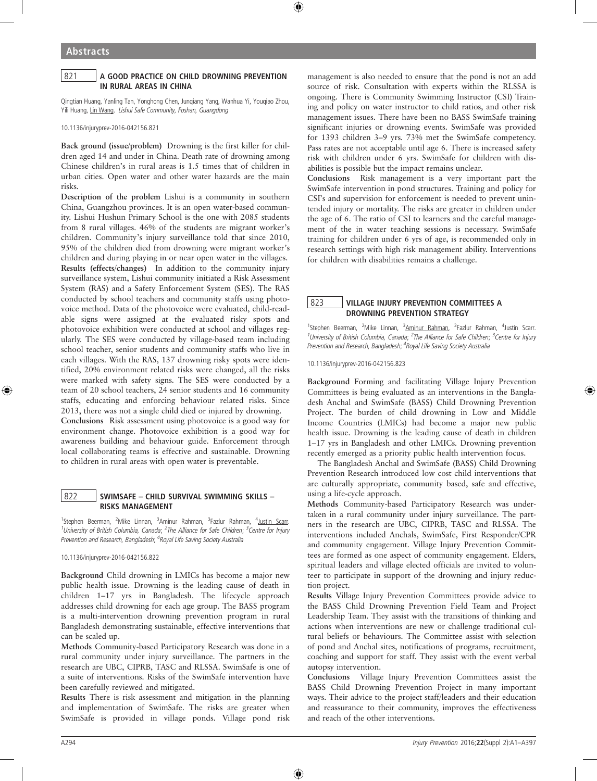## 821 A GOOD PRACTICE ON CHILD DROWNING PREVENTION IN RURAL AREAS IN CHINA

Qingtian Huang, Yanling Tan, Yonghong Chen, Junqiang Yang, Wanhua Yi, Youqiao Zhou, Yili Huang, Lin Wang. Lishui Safe Community, Foshan, Guangdong

10.1136/injuryprev-2016-042156.821

Back ground (issue/problem) Drowning is the first killer for children aged 14 and under in China. Death rate of drowning among Chinese children's in rural areas is 1.5 times that of children in urban cities. Open water and other water hazards are the main risks.

Description of the problem Lishui is a community in southern China, Guangzhou provinces. It is an open water-based community. Lishui Hushun Primary School is the one with 2085 students from 8 rural villages. 46% of the students are migrant worker's children. Community's injury surveillance told that since 2010, 95% of the children died from drowning were migrant worker's children and during playing in or near open water in the villages. Results (effects/changes) In addition to the community injury surveillance system, Lishui community initiated a Risk Assessment System (RAS) and a Safety Enforcement System (SES). The RAS conducted by school teachers and community staffs using photovoice method. Data of the photovoice were evaluated, child-readable signs were assigned at the evaluated risky spots and photovoice exhibition were conducted at school and villages regularly. The SES were conducted by village-based team including school teacher, senior students and community staffs who live in each villages. With the RAS, 137 drowning risky spots were identified, 20% environment related risks were changed, all the risks were marked with safety signs. The SES were conducted by a team of 20 school teachers, 24 senior students and 16 community staffs, educating and enforcing behaviour related risks. Since 2013, there was not a single child died or injured by drowning. Conclusions Risk assessment using photovoice is a good way for environment change. Photovoice exhibition is a good way for

awareness building and behaviour guide. Enforcement through local collaborating teams is effective and sustainable. Drowning to children in rural areas with open water is preventable.

# 822 SWIMSAFE – CHILD SURVIVAL SWIMMING SKILLS – RISKS MANAGEMENT

<sup>1</sup>Stephen Beerman, <sup>2</sup>Mike Linnan, <sup>3</sup>Aminur Rahman, <sup>3</sup>Fazlur Rahman, <sup>4</sup>Justin Scarr. <sup>1</sup>University of British Columbia, Canada; <sup>2</sup>The Alliance for Safe Children; <sup>3</sup>Centre for Injury Prevention and Research, Bangladesh; <sup>4</sup>Royal Life Saving Society Australia

10.1136/injuryprev-2016-042156.822

Background Child drowning in LMICs has become a major new public health issue. Drowning is the leading cause of death in children 1–17 yrs in Bangladesh. The lifecycle approach addresses child drowning for each age group. The BASS program is a multi-intervention drowning prevention program in rural Bangladesh demonstrating sustainable, effective interventions that can be scaled up.

Methods Community-based Participatory Research was done in a rural community under injury surveillance. The partners in the research are UBC, CIPRB, TASC and RLSSA. SwimSafe is one of a suite of interventions. Risks of the SwimSafe intervention have been carefully reviewed and mitigated.

Results There is risk assessment and mitigation in the planning and implementation of SwimSafe. The risks are greater when SwimSafe is provided in village ponds. Village pond risk management is also needed to ensure that the pond is not an add source of risk. Consultation with experts within the RLSSA is ongoing. There is Community Swimming Instructor (CSI) Training and policy on water instructor to child ratios, and other risk management issues. There have been no BASS SwimSafe training significant injuries or drowning events. SwimSafe was provided for 1393 children 3–9 yrs. 73% met the SwimSafe competency. Pass rates are not acceptable until age 6. There is increased safety risk with children under 6 yrs. SwimSafe for children with disabilities is possible but the impact remains unclear.

Conclusions Risk management is a very important part the SwimSafe intervention in pond structures. Training and policy for CSI's and supervision for enforcement is needed to prevent unintended injury or mortality. The risks are greater in children under the age of 6. The ratio of CSI to learners and the careful management of the in water teaching sessions is necessary. SwimSafe training for children under 6 yrs of age, is recommended only in research settings with high risk management ability. Interventions for children with disabilities remains a challenge.

# 823 | VILLAGE INJURY PREVENTION COMMITTEES A DROWNING PREVENTION STRATEGY

<sup>1</sup>Stephen Beerman, <sup>2</sup>Mike Linnan, <sup>3</sup>Aminur Rahman, <sup>3</sup>Fazlur Rahman, <sup>4</sup>Justin Scarr. <sup>1</sup>University of British Columbia, Canada; <sup>2</sup>The Alliance for Safe Children; <sup>3</sup>Centre for Injury Prevention and Research, Bangladesh; <sup>4</sup>Royal Life Saving Society Australia

10.1136/injuryprev-2016-042156.823

Background Forming and facilitating Village Injury Prevention Committees is being evaluated as an interventions in the Bangladesh Anchal and SwimSafe (BASS) Child Drowning Prevention Project. The burden of child drowning in Low and Middle Income Countries (LMICs) had become a major new public health issue. Drowning is the leading cause of death in children 1–17 yrs in Bangladesh and other LMICs. Drowning prevention recently emerged as a priority public health intervention focus.

The Bangladesh Anchal and SwimSafe (BASS) Child Drowning Prevention Research introduced low cost child interventions that are culturally appropriate, community based, safe and effective, using a life-cycle approach.

Methods Community-based Participatory Research was undertaken in a rural community under injury surveillance. The partners in the research are UBC, CIPRB, TASC and RLSSA. The interventions included Anchals, SwimSafe, First Responder/CPR and community engagement. Village Injury Prevention Committees are formed as one aspect of community engagement. Elders, spiritual leaders and village elected officials are invited to volunteer to participate in support of the drowning and injury reduction project.

Results Village Injury Prevention Committees provide advice to the BASS Child Drowning Prevention Field Team and Project Leadership Team. They assist with the transitions of thinking and actions when interventions are new or challenge traditional cultural beliefs or behaviours. The Committee assist with selection of pond and Anchal sites, notifications of programs, recruitment, coaching and support for staff. They assist with the event verbal autopsy intervention.

Conclusions Village Injury Prevention Committees assist the BASS Child Drowning Prevention Project in many important ways. Their advice to the project staff/leaders and their education and reassurance to their community, improves the effectiveness and reach of the other interventions.